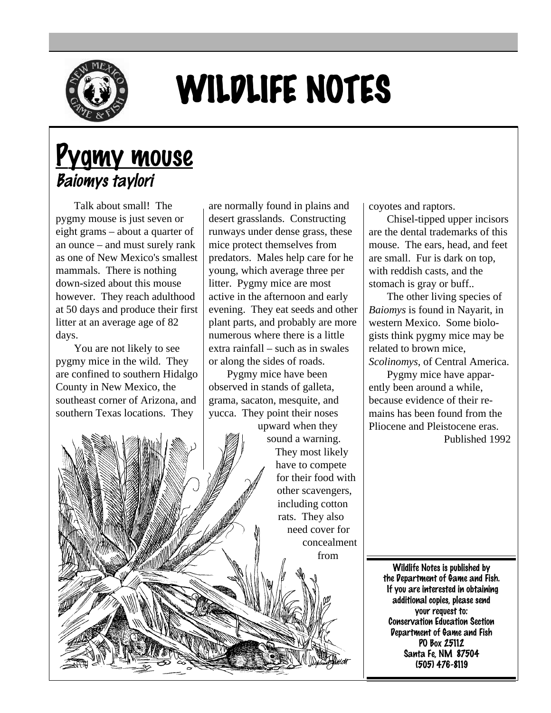

## WILDLIFE NOTES

## Pygmy mouse Baiomys taylori

Talk about small! The pygmy mouse is just seven or eight grams – about a quarter of an ounce – and must surely rank as one of New Mexico's smallest mammals. There is nothing down-sized about this mouse however. They reach adulthood at 50 days and produce their first litter at an average age of 82 days.

You are not likely to see pygmy mice in the wild. They are confined to southern Hidalgo County in New Mexico, the southeast corner of Arizona, and southern Texas locations. They

are normally found in plains and desert grasslands. Constructing runways under dense grass, these mice protect themselves from predators. Males help care for he young, which average three per litter. Pygmy mice are most active in the afternoon and early evening. They eat seeds and other plant parts, and probably are more numerous where there is a little extra rainfall – such as in swales or along the sides of roads.

Pygmy mice have been observed in stands of galleta, grama, sacaton, mesquite, and yucca. They point their noses upward when they

sound a warning. They most likely have to compete for their food with other scavengers, including cotton rats. They also need cover for concealment from

coyotes and raptors.

Chisel-tipped upper incisors are the dental trademarks of this mouse. The ears, head, and feet are small. Fur is dark on top, with reddish casts, and the stomach is gray or buff..

The other living species of *Baiomys* is found in Nayarit, in western Mexico. Some biologists think pygmy mice may be related to brown mice, *Scolinomys*, of Central America.

Pygmy mice have apparently been around a while, because evidence of their remains has been found from the Pliocene and Pleistocene eras.

Published 1992

Wildlife Notes is published by the Department of Game and Fish. If you are interested in obtaining additional copies, please send your request to: Conservation Education Section Department of Game and Fish PO Box 25112 Santa Fe, NM 87504 (505) 476-8119